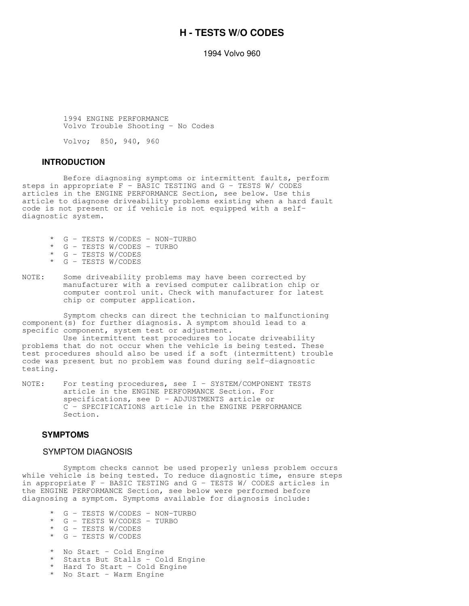# **H - TESTS W/O CODES**

1994 Volvo 960

 1994 ENGINE PERFORMANCE Volvo Trouble Shooting - No Codes

Volvo; 850, 940, 960

#### **INTRODUCTION**

 Before diagnosing symptoms or intermittent faults, perform steps in appropriate F - BASIC TESTING and G - TESTS W/ CODES articles in the ENGINE PERFORMANCE Section, see below. Use this article to diagnose driveability problems existing when a hard fault code is not present or if vehicle is not equipped with a selfdiagnostic system.

- \* G TESTS W/CODES NON-TURBO<br>\* G TESTS W/CODES TURBO
- G TESTS W/CODES TURBO
- G TESTS W/CODES
- \* G TESTS W/CODES
- NOTE: Some driveability problems may have been corrected by manufacturer with a revised computer calibration chip or computer control unit. Check with manufacturer for latest chip or computer application.

 Symptom checks can direct the technician to malfunctioning component(s) for further diagnosis. A symptom should lead to a specific component, system test or adjustment.

 Use intermittent test procedures to locate driveability problems that do not occur when the vehicle is being tested. These test procedures should also be used if a soft (intermittent) trouble code was present but no problem was found during self-diagnostic testing.

NOTE: For testing procedures, see I - SYSTEM/COMPONENT TESTS article in the ENGINE PERFORMANCE Section. For specifications, see D - ADJUSTMENTS article or C - SPECIFICATIONS article in the ENGINE PERFORMANCE Section.

### **SYMPTOMS**

### SYMPTOM DIAGNOSIS

 Symptom checks cannot be used properly unless problem occurs while vehicle is being tested. To reduce diagnostic time, ensure steps in appropriate F - BASIC TESTING and G - TESTS W/ CODES articles in the ENGINE PERFORMANCE Section, see below were performed before diagnosing a symptom. Symptoms available for diagnosis include:

- \* G TESTS W/CODES NON-TURBO<br>\* G TESTS W/CODES TURBO
- G TESTS W/CODES TURBO
- \* G TESTS W/CODES
- \* G TESTS W/CODES
- \* No Start Cold Engine
- Starts But Stalls Cold Engine
- \* Hard To Start Cold Engine
- \* No Start Warm Engine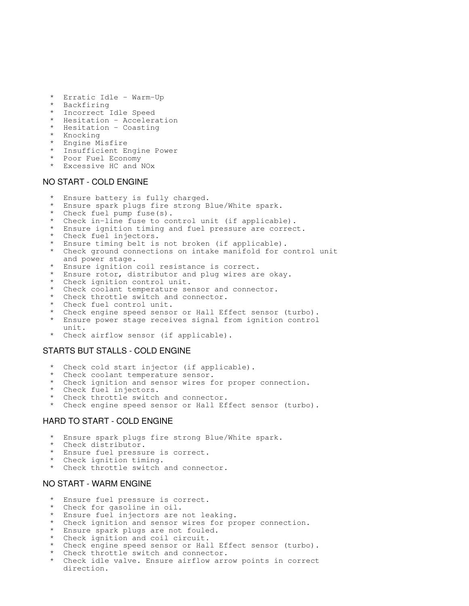- Erratic Idle Warm-Up
- **Backfiring**
- Incorrect Idle Speed
- Hesitation Acceleration
- Hesitation Coasting
- Knocking
- Engine Misfire
- Insufficient Engine Power
- Poor Fuel Economy
- Excessive HC and NOx

## NO START - COLD ENGINE

- Ensure battery is fully charged.
- Ensure spark plugs fire strong Blue/White spark.
- Check fuel pump fuse(s).
- Check in-line fuse to control unit (if applicable).
- Ensure ignition timing and fuel pressure are correct.
- Check fuel injectors.
- Ensure timing belt is not broken (if applicable).
- Check ground connections on intake manifold for control unit and power stage.
- Ensure ignition coil resistance is correct.
- Ensure rotor, distributor and plug wires are okay.
- Check ignition control unit.
- Check coolant temperature sensor and connector.
- Check throttle switch and connector.
- Check fuel control unit.
- Check engine speed sensor or Hall Effect sensor (turbo).
- Ensure power stage receives signal from ignition control unit.
- Check airflow sensor (if applicable).

### STARTS BUT STALLS - COLD ENGINE

- Check cold start injector (if applicable).
- Check coolant temperature sensor.
- Check ignition and sensor wires for proper connection.
- Check fuel injectors.
- Check throttle switch and connector.
- Check engine speed sensor or Hall Effect sensor (turbo).

# HARD TO START - COLD ENGINE

- Ensure spark plugs fire strong Blue/White spark.
- Check distributor.
- Ensure fuel pressure is correct.
- Check ignition timing.
- Check throttle switch and connector.

### NO START - WARM ENGINE

- Ensure fuel pressure is correct.
- Check for gasoline in oil.
- Ensure fuel injectors are not leaking.
- Check ignition and sensor wires for proper connection.
- Ensure spark plugs are not fouled.
- Check ignition and coil circuit.
- Check engine speed sensor or Hall Effect sensor (turbo).
- Check throttle switch and connector.
- Check idle valve. Ensure airflow arrow points in correct direction.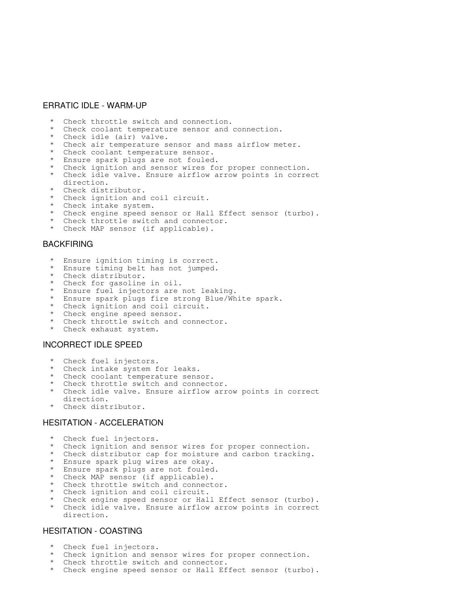### ERRATIC IDLE - WARM-UP

- Check throttle switch and connection.
- Check coolant temperature sensor and connection.
- Check idle (air) valve.
- Check air temperature sensor and mass airflow meter.
- Check coolant temperature sensor.
- Ensure spark plugs are not fouled.
- Check ignition and sensor wires for proper connection.
- Check idle valve. Ensure airflow arrow points in correct direction.
- Check distributor.
- Check ignition and coil circuit.
- Check intake system.
- Check engine speed sensor or Hall Effect sensor (turbo).
- Check throttle switch and connector.
- Check MAP sensor (if applicable).

## BACKFIRING

- Ensure ignition timing is correct.
- Ensure timing belt has not jumped.
- Check distributor.
- Check for gasoline in oil.
- Ensure fuel injectors are not leaking.
- Ensure spark plugs fire strong Blue/White spark.
- Check ignition and coil circuit.
- Check engine speed sensor.
- Check throttle switch and connector.
- Check exhaust system.

## INCORRECT IDLE SPEED

- \* Check fuel injectors.
- Check intake system for leaks.
- Check coolant temperature sensor.
- Check throttle switch and connector.
- Check idle valve. Ensure airflow arrow points in correct direction.
- Check distributor.

#### HESITATION - ACCELERATION

- Check fuel injectors.
- Check ignition and sensor wires for proper connection.
- Check distributor cap for moisture and carbon tracking.
- Ensure spark plug wires are okay.
- Ensure spark plugs are not fouled.
- Check MAP sensor (if applicable).
- Check throttle switch and connector.
- Check ignition and coil circuit.
- Check engine speed sensor or Hall Effect sensor (turbo).
- Check idle valve. Ensure airflow arrow points in correct direction.

# HESITATION - COASTING

- \* Check fuel injectors.<br>\* Check ignition and se
- Check ignition and sensor wires for proper connection.
- Check throttle switch and connector.
- Check engine speed sensor or Hall Effect sensor (turbo).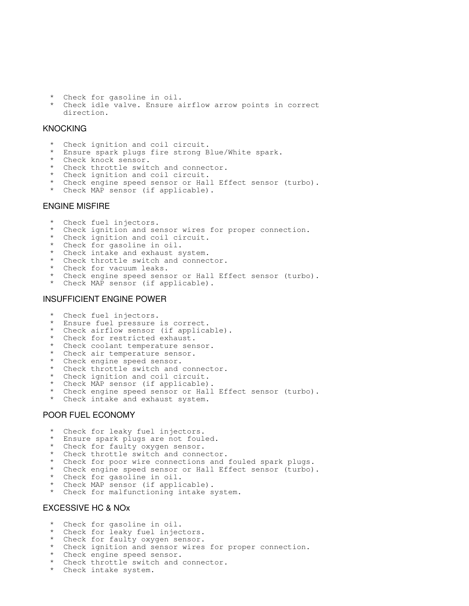- Check for gasoline in oil.
- Check idle valve. Ensure airflow arrow points in correct direction.

# **KNOCKING**

- Check ignition and coil circuit.
- Ensure spark plugs fire strong Blue/White spark.
- Check knock sensor.
- Check throttle switch and connector.
- Check ignition and coil circuit.
- Check engine speed sensor or Hall Effect sensor (turbo).
- Check MAP sensor (if applicable).

### ENGINE MISFIRE

- \* Check fuel injectors.
- Check ignition and sensor wires for proper connection.
- Check ignition and coil circuit.
- Check for gasoline in oil.
- Check intake and exhaust system.
- Check throttle switch and connector.
- Check for vacuum leaks.
- Check engine speed sensor or Hall Effect sensor (turbo).
- Check MAP sensor (if applicable).

#### INSUFFICIENT ENGINE POWER

- Check fuel injectors.
- Ensure fuel pressure is correct.
- Check airflow sensor (if applicable).
- Check for restricted exhaust.
- Check coolant temperature sensor.
- Check air temperature sensor.
- Check engine speed sensor.
- Check throttle switch and connector.
- Check ignition and coil circuit.
- Check MAP sensor (if applicable).
- Check engine speed sensor or Hall Effect sensor (turbo).
- Check intake and exhaust system.

## POOR FUEL ECONOMY

- Check for leaky fuel injectors.
- Ensure spark plugs are not fouled.
- Check for faulty oxygen sensor.
- Check throttle switch and connector.
- Check for poor wire connections and fouled spark plugs.
- Check engine speed sensor or Hall Effect sensor (turbo).
- Check for gasoline in oil.
- Check MAP sensor (if applicable).
- Check for malfunctioning intake system.

### EXCESSIVE HC & NOx

- Check for gasoline in oil.
- Check for leaky fuel injectors.
- Check for faulty oxygen sensor.
- Check ignition and sensor wires for proper connection.
- Check engine speed sensor.
- Check throttle switch and connector.
- Check intake system.